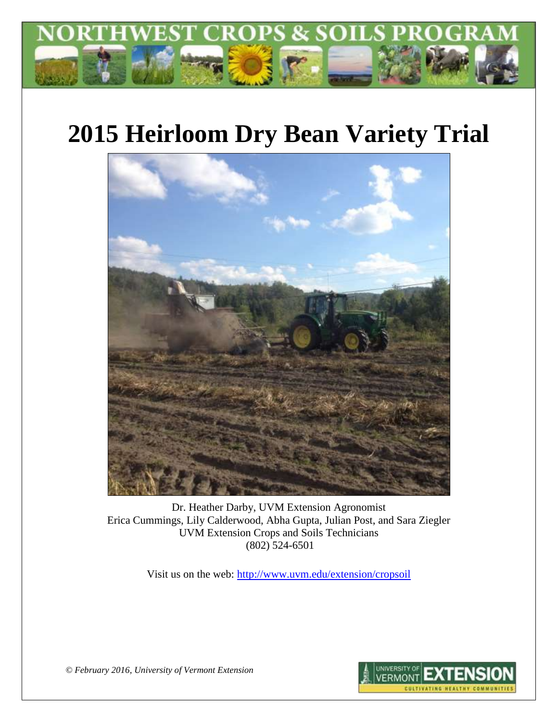

# **2015 Heirloom Dry Bean Variety Trial**



Dr. Heather Darby, UVM Extension Agronomist Erica Cummings, Lily Calderwood, Abha Gupta, Julian Post, and Sara Ziegler UVM Extension Crops and Soils Technicians (802) 524-6501

Visit us on the web:<http://www.uvm.edu/extension/cropsoil>



*© February 2016, University of Vermont Extension*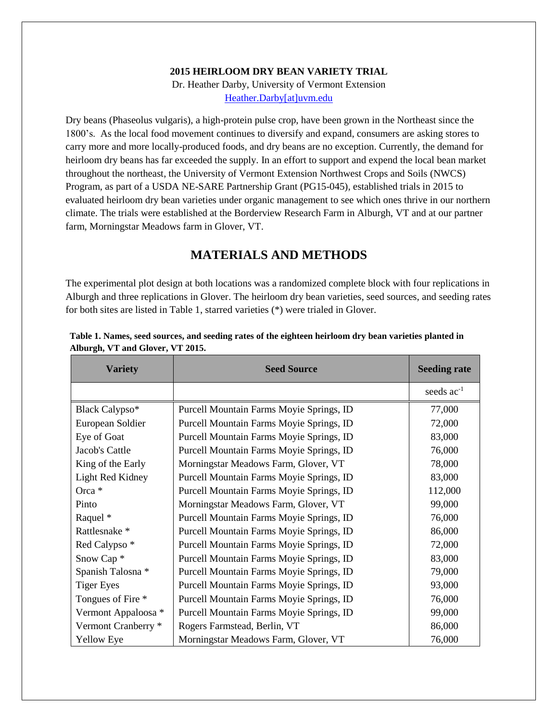#### **2015 HEIRLOOM DRY BEAN VARIETY TRIAL**

Dr. Heather Darby, University of Vermont Extension [Heather.Darby\[at\]uvm.edu](mailto:Heather.Darby@uvm.edu)

Dry beans (Phaseolus vulgaris), a high-protein pulse crop, have been grown in the Northeast since the 1800's. As the local food movement continues to diversify and expand, consumers are asking stores to carry more and more locally-produced foods, and dry beans are no exception. Currently, the demand for heirloom dry beans has far exceeded the supply. In an effort to support and expend the local bean market throughout the northeast, the University of Vermont Extension Northwest Crops and Soils (NWCS) Program, as part of a USDA NE-SARE Partnership Grant (PG15-045), established trials in 2015 to evaluated heirloom dry bean varieties under organic management to see which ones thrive in our northern climate. The trials were established at the Borderview Research Farm in Alburgh, VT and at our partner farm, Morningstar Meadows farm in Glover, VT.

# **MATERIALS AND METHODS**

The experimental plot design at both locations was a randomized complete block with four replications in Alburgh and three replications in Glover. The heirloom dry bean varieties, seed sources, and seeding rates for both sites are listed in Table 1, starred varieties (\*) were trialed in Glover.

| <b>Variety</b>           | <b>Seed Source</b>                       | <b>Seeding rate</b> |
|--------------------------|------------------------------------------|---------------------|
|                          |                                          | seeds $ac^{-1}$     |
| Black Calypso*           | Purcell Mountain Farms Moyie Springs, ID | 77,000              |
| European Soldier         | Purcell Mountain Farms Moyie Springs, ID | 72,000              |
| Eye of Goat              | Purcell Mountain Farms Moyie Springs, ID | 83,000              |
| Jacob's Cattle           | Purcell Mountain Farms Moyie Springs, ID | 76,000              |
| King of the Early        | Morningstar Meadows Farm, Glover, VT     | 78,000              |
| Light Red Kidney         | Purcell Mountain Farms Moyie Springs, ID | 83,000              |
| Orca *                   | Purcell Mountain Farms Moyie Springs, ID | 112,000             |
| Pinto                    | Morningstar Meadows Farm, Glover, VT     | 99,000              |
| Raquel *                 | Purcell Mountain Farms Moyie Springs, ID | 76,000              |
| Rattlesnake *            | Purcell Mountain Farms Moyie Springs, ID | 86,000              |
| Red Calypso <sup>*</sup> | Purcell Mountain Farms Moyie Springs, ID | 72,000              |
| Snow Cap <sup>*</sup>    | Purcell Mountain Farms Moyie Springs, ID | 83,000              |
| Spanish Talosna *        | Purcell Mountain Farms Moyie Springs, ID | 79,000              |
| <b>Tiger Eyes</b>        | Purcell Mountain Farms Moyie Springs, ID | 93,000              |
| Tongues of Fire *        | Purcell Mountain Farms Moyie Springs, ID | 76,000              |
| Vermont Appaloosa *      | Purcell Mountain Farms Moyie Springs, ID | 99,000              |
| Vermont Cranberry *      | Rogers Farmstead, Berlin, VT             | 86,000              |
| Yellow Eye               | Morningstar Meadows Farm, Glover, VT     | 76,000              |

**Table 1. Names, seed sources, and seeding rates of the eighteen heirloom dry bean varieties planted in Alburgh, VT and Glover, VT 2015.**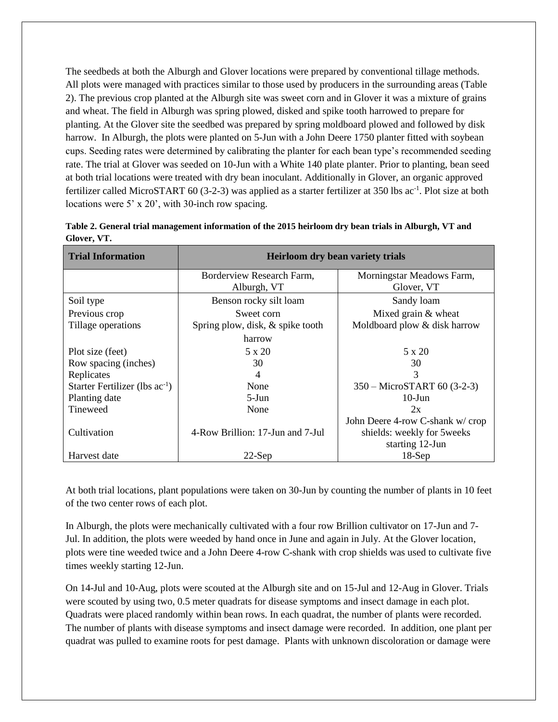The seedbeds at both the Alburgh and Glover locations were prepared by conventional tillage methods. All plots were managed with practices similar to those used by producers in the surrounding areas (Table 2). The previous crop planted at the Alburgh site was sweet corn and in Glover it was a mixture of grains and wheat. The field in Alburgh was spring plowed, disked and spike tooth harrowed to prepare for planting. At the Glover site the seedbed was prepared by spring moldboard plowed and followed by disk harrow. In Alburgh, the plots were planted on 5-Jun with a John Deere 1750 planter fitted with soybean cups. Seeding rates were determined by calibrating the planter for each bean type's recommended seeding rate. The trial at Glover was seeded on 10-Jun with a White 140 plate planter. Prior to planting, bean seed at both trial locations were treated with dry bean inoculant. Additionally in Glover, an organic approved fertilizer called MicroSTART 60 (3-2-3) was applied as a starter fertilizer at 350 lbs  $ac^{-1}$ . Plot size at both locations were 5' x 20', with 30-inch row spacing.

| <b>Trial Information</b>            | <b>Heirloom dry bean variety trials</b>  |                                         |  |  |  |
|-------------------------------------|------------------------------------------|-----------------------------------------|--|--|--|
|                                     | Borderview Research Farm,<br>Alburgh, VT | Morningstar Meadows Farm,<br>Glover, VT |  |  |  |
| Soil type                           | Benson rocky silt loam                   | Sandy loam                              |  |  |  |
| Previous crop                       | Sweet corn                               | Mixed grain & wheat                     |  |  |  |
| Tillage operations                  | Spring plow, disk, & spike tooth         | Moldboard plow & disk harrow            |  |  |  |
|                                     | harrow                                   |                                         |  |  |  |
| Plot size (feet)                    | 5 x 20                                   | 5 x 20                                  |  |  |  |
| Row spacing (inches)                | 30                                       | 30                                      |  |  |  |
| Replicates                          | 4                                        | 3                                       |  |  |  |
| Starter Fertilizer (lbs $ac^{-1}$ ) | None                                     | 350 – MicroSTART 60 (3-2-3)             |  |  |  |
| Planting date                       | 5-Jun                                    | $10-J$ un                               |  |  |  |
| Tineweed                            | None                                     | 2x                                      |  |  |  |
|                                     |                                          | John Deere 4-row C-shank w/crop         |  |  |  |
| Cultivation                         | 4-Row Brillion: 17-Jun and 7-Jul         | shields: weekly for 5 weeks             |  |  |  |
|                                     |                                          | starting 12-Jun                         |  |  |  |
| Harvest date                        | $22$ -Sep                                | $18-Sep$                                |  |  |  |

| Table 2. General trial management information of the 2015 heirloom dry bean trials in Alburgh, VT and |  |
|-------------------------------------------------------------------------------------------------------|--|
| Glover, VT.                                                                                           |  |

At both trial locations, plant populations were taken on 30-Jun by counting the number of plants in 10 feet of the two center rows of each plot.

In Alburgh, the plots were mechanically cultivated with a four row Brillion cultivator on 17-Jun and 7- Jul. In addition, the plots were weeded by hand once in June and again in July. At the Glover location, plots were tine weeded twice and a John Deere 4-row C-shank with crop shields was used to cultivate five times weekly starting 12-Jun.

On 14-Jul and 10-Aug, plots were scouted at the Alburgh site and on 15-Jul and 12-Aug in Glover. Trials were scouted by using two, 0.5 meter quadrats for disease symptoms and insect damage in each plot. Quadrats were placed randomly within bean rows. In each quadrat, the number of plants were recorded. The number of plants with disease symptoms and insect damage were recorded. In addition, one plant per quadrat was pulled to examine roots for pest damage. Plants with unknown discoloration or damage were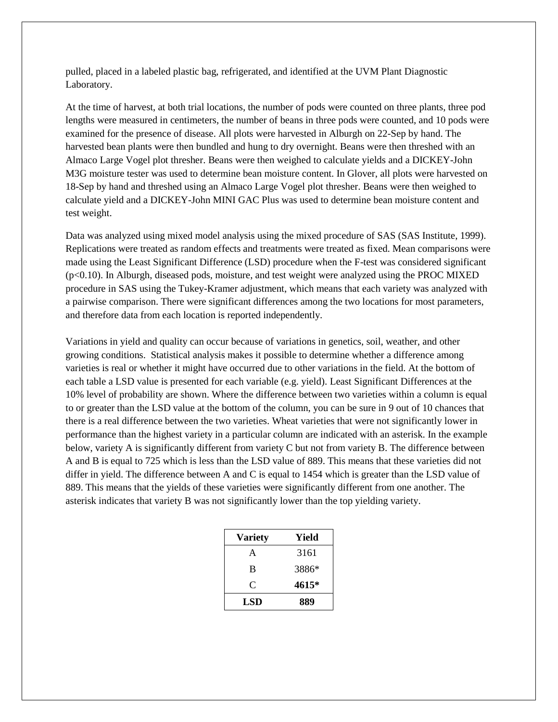pulled, placed in a labeled plastic bag, refrigerated, and identified at the UVM Plant Diagnostic Laboratory.

At the time of harvest, at both trial locations, the number of pods were counted on three plants, three pod lengths were measured in centimeters, the number of beans in three pods were counted, and 10 pods were examined for the presence of disease. All plots were harvested in Alburgh on 22-Sep by hand. The harvested bean plants were then bundled and hung to dry overnight. Beans were then threshed with an Almaco Large Vogel plot thresher. Beans were then weighed to calculate yields and a DICKEY-John M3G moisture tester was used to determine bean moisture content. In Glover, all plots were harvested on 18-Sep by hand and threshed using an Almaco Large Vogel plot thresher. Beans were then weighed to calculate yield and a DICKEY-John MINI GAC Plus was used to determine bean moisture content and test weight.

Data was analyzed using mixed model analysis using the mixed procedure of SAS (SAS Institute, 1999). Replications were treated as random effects and treatments were treated as fixed. Mean comparisons were made using the Least Significant Difference (LSD) procedure when the F-test was considered significant (p<0.10). In Alburgh, diseased pods, moisture, and test weight were analyzed using the PROC MIXED procedure in SAS using the Tukey-Kramer adjustment, which means that each variety was analyzed with a pairwise comparison. There were significant differences among the two locations for most parameters, and therefore data from each location is reported independently.

Variations in yield and quality can occur because of variations in genetics, soil, weather, and other growing conditions. Statistical analysis makes it possible to determine whether a difference among varieties is real or whether it might have occurred due to other variations in the field. At the bottom of each table a LSD value is presented for each variable (e.g. yield). Least Significant Differences at the 10% level of probability are shown. Where the difference between two varieties within a column is equal to or greater than the LSD value at the bottom of the column, you can be sure in 9 out of 10 chances that there is a real difference between the two varieties. Wheat varieties that were not significantly lower in performance than the highest variety in a particular column are indicated with an asterisk. In the example below, variety A is significantly different from variety C but not from variety B. The difference between A and B is equal to 725 which is less than the LSD value of 889. This means that these varieties did not differ in yield. The difference between A and C is equal to 1454 which is greater than the LSD value of 889. This means that the yields of these varieties were significantly different from one another. The asterisk indicates that variety B was not significantly lower than the top yielding variety.

| <b>Variety</b> | Yield |
|----------------|-------|
| A              | 3161  |
| B              | 3886* |
| C              | 4615* |
| LSD            | 889   |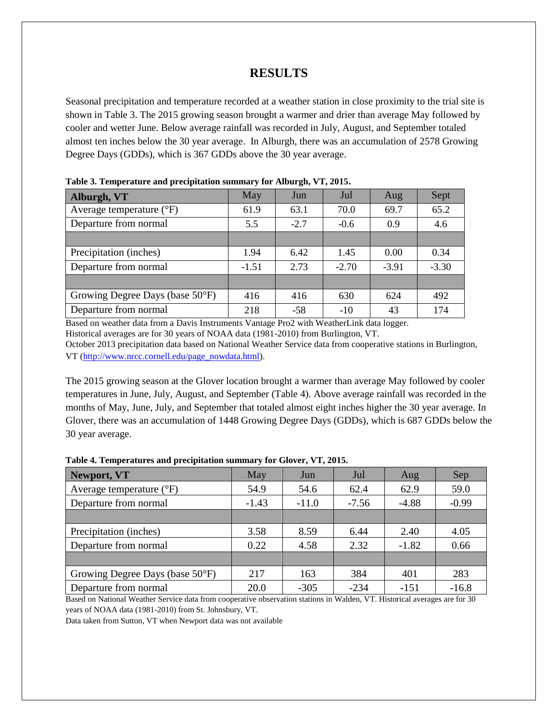## **RESULTS**

Seasonal precipitation and temperature recorded at a weather station in close proximity to the trial site is shown in Table 3. The 2015 growing season brought a warmer and drier than average May followed by cooler and wetter June. Below average rainfall was recorded in July, August, and September totaled almost ten inches below the 30 year average. In Alburgh, there was an accumulation of 2578 Growing Degree Days (GDDs), which is 367 GDDs above the 30 year average.

| Alburgh, VT                       | May     | Jun    | Jul     | Aug     | Sept    |
|-----------------------------------|---------|--------|---------|---------|---------|
| Average temperature $(^{\circ}F)$ | 61.9    | 63.1   | 70.0    | 69.7    | 65.2    |
| Departure from normal             | 5.5     | $-2.7$ | $-0.6$  | 0.9     | 4.6     |
|                                   |         |        |         |         |         |
| Precipitation (inches)            | 1.94    | 6.42   | 1.45    | 0.00    | 0.34    |
| Departure from normal             | $-1.51$ | 2.73   | $-2.70$ | $-3.91$ | $-3.30$ |
|                                   |         |        |         |         |         |
| Growing Degree Days (base 50°F)   | 416     | 416    | 630     | 624     | 492     |
| Departure from normal             | 218     | $-58$  | $-10$   | 43      | 174     |

**Table 3. Temperature and precipitation summary for Alburgh, VT, 2015.**

Based on weather data from a Davis Instruments Vantage Pro2 with WeatherLink data logger. Historical averages are for 30 years of NOAA data (1981-2010) from Burlington, VT.

October 2013 precipitation data based on National Weather Service data from cooperative stations in Burlington, VT [\(http://www.nrcc.cornell.edu/page\\_nowdata.html\)](http://www.nrcc.cornell.edu/page_nowdata.html).

The 2015 growing season at the Glover location brought a warmer than average May followed by cooler temperatures in June, July, August, and September (Table 4). Above average rainfall was recorded in the months of May, June, July, and September that totaled almost eight inches higher the 30 year average. In Glover, there was an accumulation of 1448 Growing Degree Days (GDDs), which is 687 GDDs below the 30 year average.

| May     | Jun     | Jul     | Aug     | Sep     |  |  |
|---------|---------|---------|---------|---------|--|--|
| 54.9    | 54.6    | 62.4    | 62.9    | 59.0    |  |  |
| $-1.43$ | $-11.0$ | $-7.56$ | $-4.88$ | $-0.99$ |  |  |
|         |         |         |         |         |  |  |
| 3.58    | 8.59    | 6.44    | 2.40    | 4.05    |  |  |
| 0.22    | 4.58    | 2.32    | $-1.82$ | 0.66    |  |  |
|         |         |         |         |         |  |  |
| 217     | 163     | 384     | 401     | 283     |  |  |
| 20.0    | $-305$  | $-234$  | $-151$  | $-16.8$ |  |  |
|         |         |         |         |         |  |  |

| Table 4. Temperatures and precipitation summary for Glover, VT, 2015. |  |  |  |
|-----------------------------------------------------------------------|--|--|--|
|-----------------------------------------------------------------------|--|--|--|

Based on National Weather Service data from cooperative observation stations in Walden, VT. Historical averages are for 30 years of NOAA data (1981-2010) from St. Johnsbury, VT.

Data taken from Sutton, VT when Newport data was not available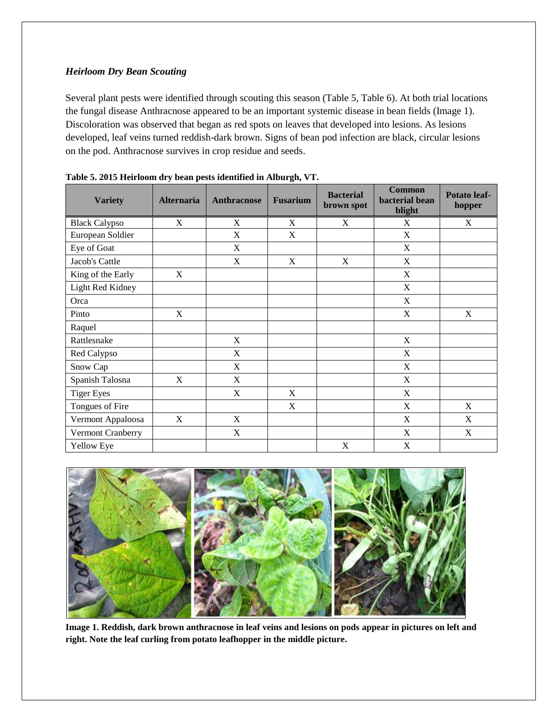## *Heirloom Dry Bean Scouting*

Several plant pests were identified through scouting this season (Table 5, Table 6). At both trial locations the fungal disease Anthracnose appeared to be an important systemic disease in bean fields (Image 1). Discoloration was observed that began as red spots on leaves that developed into lesions. As lesions developed, leaf veins turned reddish-dark brown. Signs of bean pod infection are black, circular lesions on the pod. Anthracnose survives in crop residue and seeds.

| <b>Variety</b>       | <b>Alternaria</b> | <b>Anthracnose</b>        | <b>Fusarium</b> | <b>Bacterial</b><br>brown spot | <b>Common</b><br>bacterial bean<br>blight | Potato leaf-<br>hopper |
|----------------------|-------------------|---------------------------|-----------------|--------------------------------|-------------------------------------------|------------------------|
| <b>Black Calypso</b> | X                 | $\mathbf X$               | X               | $\mathbf X$                    | X                                         | X                      |
| European Soldier     |                   | $\boldsymbol{\mathrm{X}}$ | $\mathbf X$     |                                | $\boldsymbol{\mathrm{X}}$                 |                        |
| Eye of Goat          |                   | $\mathbf X$               |                 |                                | $\mathbf X$                               |                        |
| Jacob's Cattle       |                   | $\boldsymbol{\mathrm{X}}$ | X               | X                              | $\boldsymbol{\mathrm{X}}$                 |                        |
| King of the Early    | X                 |                           |                 |                                | X                                         |                        |
| Light Red Kidney     |                   |                           |                 |                                | X                                         |                        |
| Orca                 |                   |                           |                 |                                | X                                         |                        |
| Pinto                | X                 |                           |                 |                                | X                                         | $\mathbf X$            |
| Raquel               |                   |                           |                 |                                |                                           |                        |
| Rattlesnake          |                   | $\boldsymbol{\mathrm{X}}$ |                 |                                | $\boldsymbol{\mathrm{X}}$                 |                        |
| Red Calypso          |                   | $\mathbf X$               |                 |                                | X                                         |                        |
| Snow Cap             |                   | X                         |                 |                                | X                                         |                        |
| Spanish Talosna      | X                 | X                         |                 |                                | X                                         |                        |
| <b>Tiger Eyes</b>    |                   | X                         | X               |                                | X                                         |                        |
| Tongues of Fire      |                   |                           | X               |                                | X                                         | X                      |
| Vermont Appaloosa    | X                 | X                         |                 |                                | X                                         | X                      |
| Vermont Cranberry    |                   | X                         |                 |                                | X                                         | X                      |
| Yellow Eye           |                   |                           |                 | X                              | X                                         |                        |

|  |  |  | Table 5. 2015 Heirloom dry bean pests identified in Alburgh, VT. |  |
|--|--|--|------------------------------------------------------------------|--|
|  |  |  |                                                                  |  |



**Image 1. Reddish, dark brown anthracnose in leaf veins and lesions on pods appear in pictures on left and right. Note the leaf curling from potato leafhopper in the middle picture.**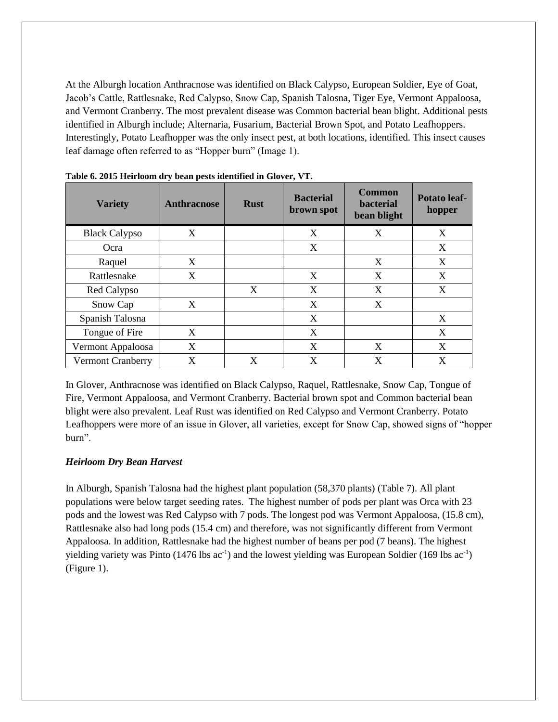At the Alburgh location Anthracnose was identified on Black Calypso, European Soldier, Eye of Goat, Jacob's Cattle, Rattlesnake, Red Calypso, Snow Cap, Spanish Talosna, Tiger Eye, Vermont Appaloosa, and Vermont Cranberry. The most prevalent disease was Common bacterial bean blight. Additional pests identified in Alburgh include; Alternaria, Fusarium, Bacterial Brown Spot, and Potato Leafhoppers. Interestingly, Potato Leafhopper was the only insect pest, at both locations, identified. This insect causes leaf damage often referred to as "Hopper burn" (Image 1).

| <b>Variety</b>           | <b>Anthracnose</b> | <b>Rust</b> | <b>Bacterial</b><br>brown spot | <b>Common</b><br><b>bacterial</b><br>bean blight | <b>Potato leaf-</b><br>hopper |
|--------------------------|--------------------|-------------|--------------------------------|--------------------------------------------------|-------------------------------|
| <b>Black Calypso</b>     | X                  |             | X                              | X                                                | X                             |
| Ocra                     |                    |             | X                              |                                                  | X                             |
| Raquel                   | X                  |             |                                | X                                                | X                             |
| Rattlesnake              | X                  |             | X                              | X                                                | X                             |
| Red Calypso              |                    | X           | X                              | X                                                | X                             |
| Snow Cap                 | X                  |             | X                              | X                                                |                               |
| Spanish Talosna          |                    |             | X                              |                                                  | X                             |
| Tongue of Fire           | X                  |             | X                              |                                                  | X                             |
| Vermont Appaloosa        | X                  |             | X                              | X                                                | X                             |
| <b>Vermont Cranberry</b> | X                  | X           | X                              | X                                                | X                             |

**Table 6. 2015 Heirloom dry bean pests identified in Glover, VT.**

In Glover, Anthracnose was identified on Black Calypso, Raquel, Rattlesnake, Snow Cap, Tongue of Fire, Vermont Appaloosa, and Vermont Cranberry. Bacterial brown spot and Common bacterial bean blight were also prevalent. Leaf Rust was identified on Red Calypso and Vermont Cranberry. Potato Leafhoppers were more of an issue in Glover, all varieties, except for Snow Cap, showed signs of "hopper burn".

### *Heirloom Dry Bean Harvest*

In Alburgh, Spanish Talosna had the highest plant population (58,370 plants) (Table 7). All plant populations were below target seeding rates. The highest number of pods per plant was Orca with 23 pods and the lowest was Red Calypso with 7 pods. The longest pod was Vermont Appaloosa, (15.8 cm), Rattlesnake also had long pods (15.4 cm) and therefore, was not significantly different from Vermont Appaloosa. In addition, Rattlesnake had the highest number of beans per pod (7 beans). The highest yielding variety was Pinto (1476 lbs  $ac^{-1}$ ) and the lowest yielding was European Soldier (169 lbs  $ac^{-1}$ ) (Figure 1).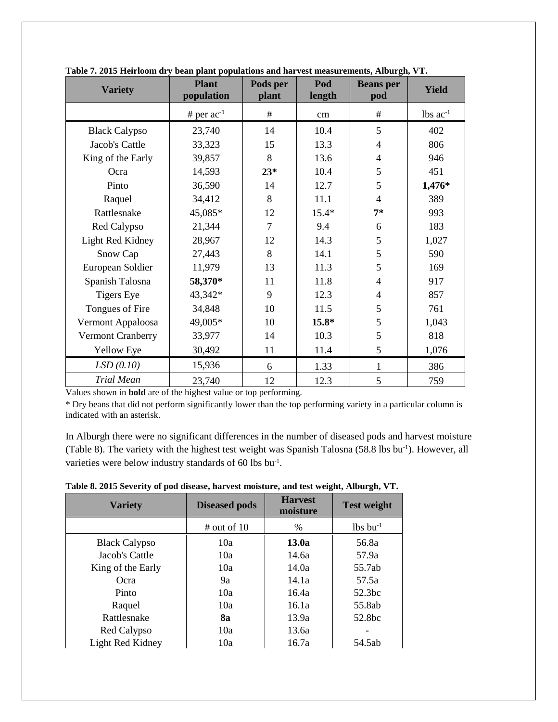| <b>Variety</b>       | <b>Plant</b><br>population | Pods per<br>plant | Pod<br>length | <b>Beans</b> per<br>pod | <b>Yield</b>           |
|----------------------|----------------------------|-------------------|---------------|-------------------------|------------------------|
|                      | # per $ac^{-1}$            | #                 | cm            | #                       | $lbs$ ac <sup>-1</sup> |
| <b>Black Calypso</b> | 23,740                     | 14                | 10.4          | 5                       | 402                    |
| Jacob's Cattle       | 33,323                     | 15                | 13.3          | 4                       | 806                    |
| King of the Early    | 39,857                     | 8                 | 13.6          | 4                       | 946                    |
| Ocra                 | 14,593                     | $23*$             | 10.4          | 5                       | 451                    |
| Pinto                | 36,590                     | 14                | 12.7          | 5                       | 1,476*                 |
| Raquel               | 34,412                     | 8                 | 11.1          | 4                       | 389                    |
| Rattlesnake          | 45,085*                    | 12                | $15.4*$       | $7*$                    | 993                    |
| Red Calypso          | 21,344                     | 7                 | 9.4           | 6                       | 183                    |
| Light Red Kidney     | 28,967                     | 12                | 14.3          | 5                       | 1,027                  |
| Snow Cap             | 27,443                     | 8                 | 14.1          | 5                       | 590                    |
| European Soldier     | 11,979                     | 13                | 11.3          | 5                       | 169                    |
| Spanish Talosna      | 58,370*                    | 11                | 11.8          | 4                       | 917                    |
| <b>Tigers Eye</b>    | 43,342*                    | 9                 | 12.3          | 4                       | 857                    |
| Tongues of Fire      | 34,848                     | 10                | 11.5          | 5                       | 761                    |
| Vermont Appaloosa    | 49,005*                    | 10                | $15.8*$       | 5                       | 1,043                  |
| Vermont Cranberry    | 33,977                     | 14                | 10.3          | 5                       | 818                    |
| Yellow Eye           | 30,492                     | 11                | 11.4          | 5                       | 1,076                  |
| LSD(0.10)            | 15,936                     | 6                 | 1.33          | 1                       | 386                    |
| <b>Trial Mean</b>    | 23,740                     | 12                | 12.3          | 5                       | 759                    |

**Table 7. 2015 Heirloom dry bean plant populations and harvest measurements, Alburgh, VT.**

Values shown in **bold** are of the highest value or top performing.

\* Dry beans that did not perform significantly lower than the top performing variety in a particular column is indicated with an asterisk.

In Alburgh there were no significant differences in the number of diseased pods and harvest moisture (Table 8). The variety with the highest test weight was Spanish Talosna (58.8 lbs bu<sup>-1</sup>). However, all varieties were below industry standards of 60 lbs bu<sup>-1</sup>.

| <b>Variety</b>       | <b>Diseased pods</b> | <b>Harvest</b><br>moisture | <b>Test weight</b>     |
|----------------------|----------------------|----------------------------|------------------------|
|                      | # out of $10$        | $\%$                       | $lbs$ bu <sup>-1</sup> |
| <b>Black Calypso</b> | 10a                  | 13.0a                      | 56.8a                  |
| Jacob's Cattle       | 10a                  | 14.6a                      | 57.9a                  |
| King of the Early    | 10a                  | 14.0a                      | 55.7ab                 |
| Ocra                 | 9a                   | 14.1a                      | 57.5a                  |
| Pinto                | 10a                  | 16.4a                      | 52.3 <sub>bc</sub>     |
| Raquel               | 10a                  | 16.1a                      | 55.8ab                 |
| Rattlesnake          | 8а                   | 13.9a                      | 52.8 <sub>bc</sub>     |
| Red Calypso          | 10a                  | 13.6a                      |                        |
| Light Red Kidney     | 10a                  | 16.7a                      | 54.5ab                 |

**Table 8. 2015 Severity of pod disease, harvest moisture, and test weight, Alburgh, VT.**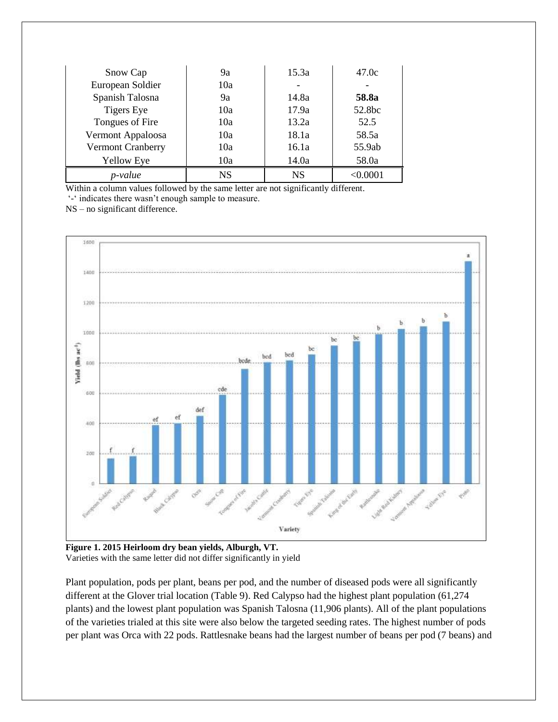| Snow Cap          | 9а        | 15.3a     | 47.0c    |
|-------------------|-----------|-----------|----------|
| European Soldier  | 10a       |           |          |
| Spanish Talosna   | 9a        | 14.8a     | 58.8a    |
| <b>Tigers Eye</b> | 10a       | 17.9a     | 52.8bc   |
| Tongues of Fire   | 10a       | 13.2a     | 52.5     |
| Vermont Appaloosa | 10a       | 18.1a     | 58.5a    |
| Vermont Cranberry | 10a       | 16.1a     | 55.9ab   |
| <b>Yellow Eye</b> | 10a       | 14.0a     | 58.0a    |
| p-value           | <b>NS</b> | <b>NS</b> | < 0.0001 |

Within a column values followed by the same letter are not significantly different.

'-' indicates there wasn't enough sample to measure.

NS – no significant difference.



**Figure 1. 2015 Heirloom dry bean yields, Alburgh, VT.** Varieties with the same letter did not differ significantly in yield

Plant population, pods per plant, beans per pod, and the number of diseased pods were all significantly different at the Glover trial location (Table 9). Red Calypso had the highest plant population (61,274 plants) and the lowest plant population was Spanish Talosna (11,906 plants). All of the plant populations of the varieties trialed at this site were also below the targeted seeding rates. The highest number of pods per plant was Orca with 22 pods. Rattlesnake beans had the largest number of beans per pod (7 beans) and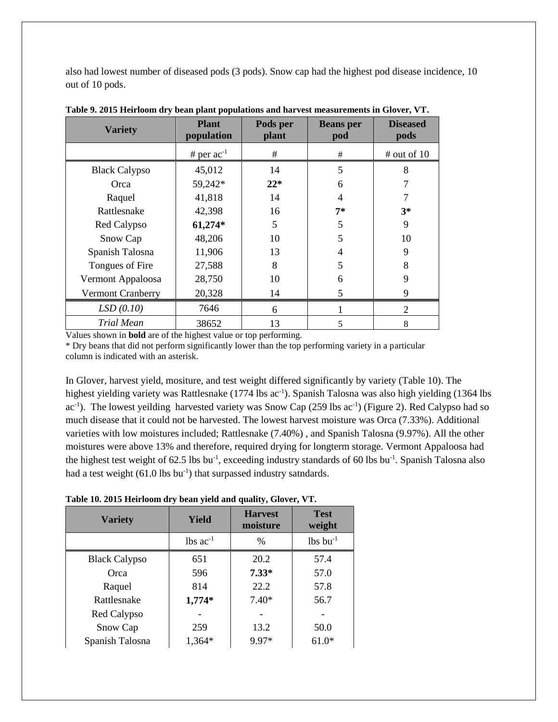also had lowest number of diseased pods (3 pods). Snow cap had the highest pod disease incidence, 10 out of 10 pods.

| <b>Variety</b>           | <b>Plant</b><br>population | Pods per<br>plant | <b>Beans</b> per<br>pod | <b>Diseased</b><br>pods |
|--------------------------|----------------------------|-------------------|-------------------------|-------------------------|
|                          | # per $ac^{-1}$            | $\#$              | #                       | # out of 10             |
| <b>Black Calypso</b>     | 45,012                     | 14                | 5                       | 8                       |
| Orca                     | 59,242*                    | $22*$             | 6                       |                         |
| Raquel                   | 41,818                     | 14                | 4                       | 7                       |
| Rattlesnake              | 42,398                     | 16                | $7*$                    | $3*$                    |
| Red Calypso              | 61,274*                    | 5                 | 5                       | 9                       |
| Snow Cap                 | 48,206                     | 10                | 5                       | 10                      |
| Spanish Talosna          | 11,906                     | 13                | 4                       | 9                       |
| Tongues of Fire          | 27,588                     | 8                 | 5                       | 8                       |
| Vermont Appaloosa        | 28,750                     | 10                | 6                       | 9                       |
| <b>Vermont Cranberry</b> | 20,328                     | 14                | 5                       | 9                       |
| LSD(0.10)                | 7646                       | 6                 |                         | $\overline{2}$          |
| <b>Trial Mean</b>        | 38652                      | 13                | 5                       | 8                       |

**Table 9. 2015 Heirloom dry bean plant populations and harvest measurements in Glover, VT.**

Values shown in **bold** are of the highest value or top performing.

\* Dry beans that did not perform significantly lower than the top performing variety in a particular column is indicated with an asterisk.

In Glover, harvest yield, mositure, and test weight differed significantly by variety (Table 10). The highest yielding variety was Rattlesnake (1774 lbs ac<sup>-1</sup>). Spanish Talosna was also high yielding (1364 lbs ac<sup>-1</sup>). The lowest yeilding harvested variety was Snow Cap (259 lbs ac<sup>-1</sup>) (Figure 2). Red Calypso had so much disease that it could not be harvested. The lowest harvest moisture was Orca (7.33%). Additional varieties with low moistures included; Rattlesnake (7.40%) , and Spanish Talosna (9.97%). All the other moistures were above 13% and therefore, required drying for longterm storage. Vermont Appaloosa had the highest test weight of 62.5 lbs bu<sup>-1</sup>, exceeding industry standards of 60 lbs bu<sup>-1</sup>. Spanish Talosna also had a test weight (61.0 lbs bu<sup>-1</sup>) that surpassed industry satndards.

**Table 10. 2015 Heirloom dry bean yield and quality, Glover, VT.**

| <b>Variety</b>       | Yield                  | <b>Harvest</b><br>moisture | <b>Test</b><br>weight  |
|----------------------|------------------------|----------------------------|------------------------|
|                      | $lbs$ ac <sup>-1</sup> | $\%$                       | $lbs$ bu <sup>-1</sup> |
| <b>Black Calypso</b> | 651                    | 20.2                       | 57.4                   |
| Orca                 | 596                    | $7.33*$                    | 57.0                   |
| Raquel               | 814                    | 22.2                       | 57.8                   |
| Rattlesnake          | $1,774*$               | $7.40*$                    | 56.7                   |
| Red Calypso          |                        |                            |                        |
| Snow Cap             | 259                    | 13.2                       | 50.0                   |
| Spanish Talosna      | 1,364*                 | 9.97*                      | $61.0*$                |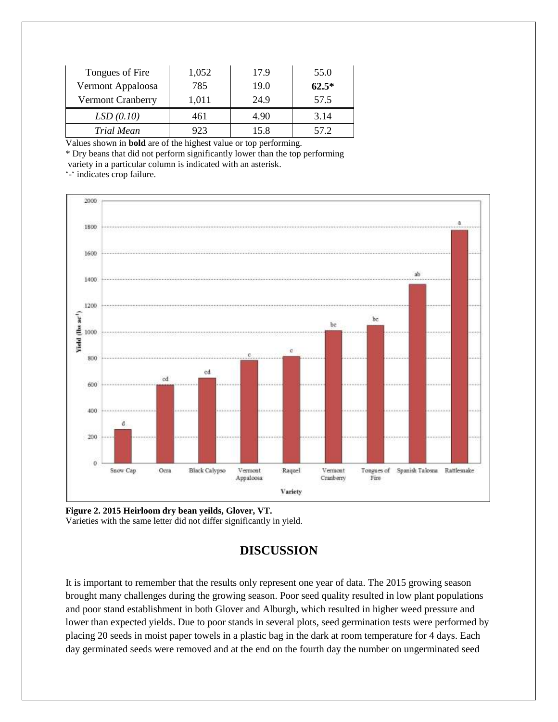| Tongues of Fire          | 1,052 | 17.9 | 55.0    |
|--------------------------|-------|------|---------|
| Vermont Appaloosa        | 785   | 19.0 | $62.5*$ |
| <b>Vermont Cranberry</b> | 1,011 | 24.9 | 57.5    |
| LSD(0.10)                | 461   | 4.90 | 3.14    |
| Trial Mean               | 923   | 15.8 | 57.2    |

Values shown in **bold** are of the highest value or top performing.

\* Dry beans that did not perform significantly lower than the top performing variety in a particular column is indicated with an asterisk.

'-' indicates crop failure.



**Figure 2. 2015 Heirloom dry bean yeilds, Glover, VT.** Varieties with the same letter did not differ significantly in yield.

# **DISCUSSION**

It is important to remember that the results only represent one year of data. The 2015 growing season brought many challenges during the growing season. Poor seed quality resulted in low plant populations and poor stand establishment in both Glover and Alburgh, which resulted in higher weed pressure and lower than expected yields. Due to poor stands in several plots, seed germination tests were performed by placing 20 seeds in moist paper towels in a plastic bag in the dark at room temperature for 4 days. Each day germinated seeds were removed and at the end on the fourth day the number on ungerminated seed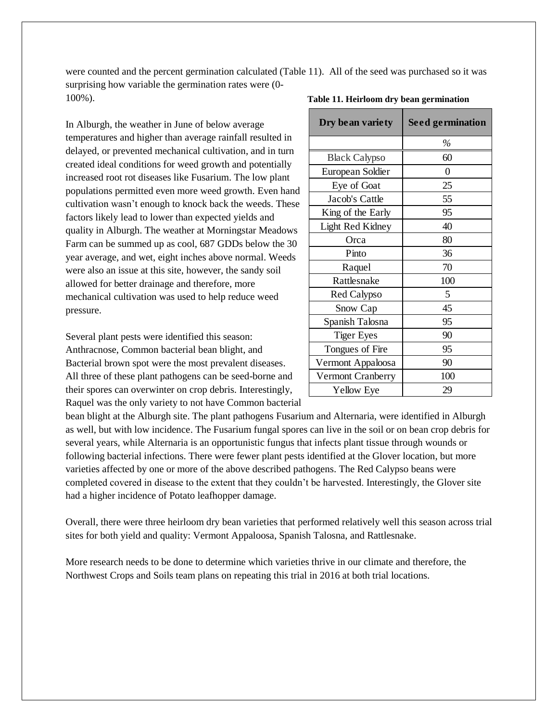were counted and the percent germination calculated (Table 11). All of the seed was purchased so it was surprising how variable the germination rates were (0- 100%).

In Alburgh, the weather in June of below average temperatures and higher than average rainfall resulted in delayed, or prevented mechanical cultivation, and in turn created ideal conditions for weed growth and potentially increased root rot diseases like Fusarium. The low plant populations permitted even more weed growth. Even hand cultivation wasn't enough to knock back the weeds. These factors likely lead to lower than expected yields and quality in Alburgh. The weather at Morningstar Meadows Farm can be summed up as cool, 687 GDDs below the 30 year average, and wet, eight inches above normal. Weeds were also an issue at this site, however, the sandy soil allowed for better drainage and therefore, more mechanical cultivation was used to help reduce weed pressure.

Several plant pests were identified this season: Anthracnose, Common bacterial bean blight, and Bacterial brown spot were the most prevalent diseases. All three of these plant pathogens can be seed-borne and their spores can overwinter on crop debris. Interestingly, Raquel was the only variety to not have Common bacterial

| Dry bean variety         | <b>Seed germination</b> |  |
|--------------------------|-------------------------|--|
|                          | $\%$                    |  |
| <b>Black Calypso</b>     | 60                      |  |
| European Soldier         | 0                       |  |
| Eye of Goat              | 25                      |  |
| Jacob's Cattle           | 55                      |  |
| King of the Early        | 95                      |  |
| Light Red Kidney         | 40                      |  |
| Orca                     | 80                      |  |
| Pinto                    | 36                      |  |
| Raquel                   | 70                      |  |
| Rattlesnake              | 100                     |  |
| Red Calypso              | 5                       |  |
| Snow Cap                 | 45                      |  |
| Spanish Talosna          | 95                      |  |
| <b>Tiger Eyes</b>        | 90                      |  |
| Tongues of Fire          | 95                      |  |
| Vermont Appaloosa        | 90                      |  |
| <b>Vermont Cranberry</b> | 100                     |  |
| Yellow Eye               | 29                      |  |

#### **Table 11. Heirloom dry bean germination**

bean blight at the Alburgh site. The plant pathogens Fusarium and Alternaria, were identified in Alburgh as well, but with low incidence. The Fusarium fungal spores can live in the soil or on bean crop debris for several years, while Alternaria is an opportunistic fungus that infects plant tissue through wounds or following bacterial infections. There were fewer plant pests identified at the Glover location, but more varieties affected by one or more of the above described pathogens. The Red Calypso beans were completed covered in disease to the extent that they couldn't be harvested. Interestingly, the Glover site had a higher incidence of Potato leafhopper damage.

Overall, there were three heirloom dry bean varieties that performed relatively well this season across trial sites for both yield and quality: Vermont Appaloosa, Spanish Talosna, and Rattlesnake.

More research needs to be done to determine which varieties thrive in our climate and therefore, the Northwest Crops and Soils team plans on repeating this trial in 2016 at both trial locations.